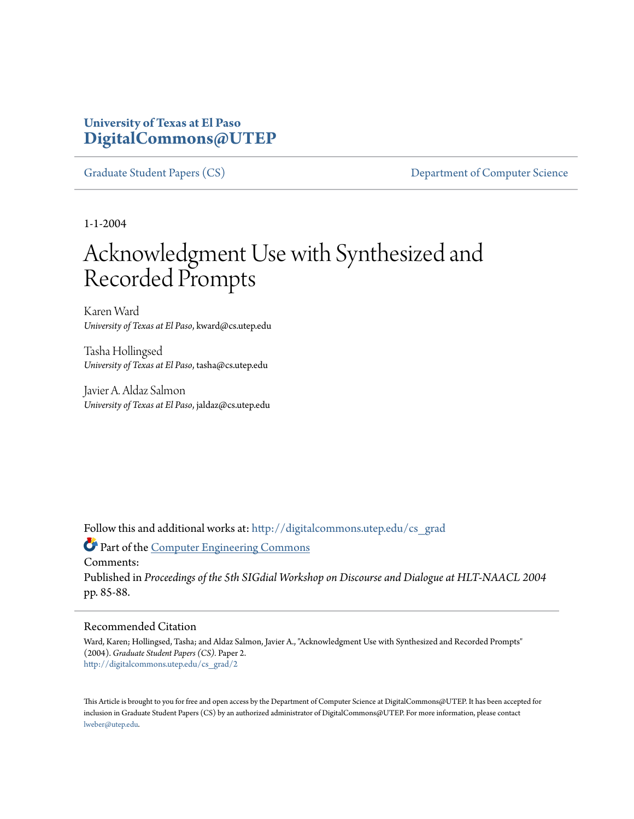# **University of Texas at El Paso [DigitalCommons@UTEP](http://digitalcommons.utep.edu?utm_source=digitalcommons.utep.edu%2Fcs_grad%2F2&utm_medium=PDF&utm_campaign=PDFCoverPages)**

[Graduate Student Papers \(CS\)](http://digitalcommons.utep.edu/cs_grad?utm_source=digitalcommons.utep.edu%2Fcs_grad%2F2&utm_medium=PDF&utm_campaign=PDFCoverPages) [Department of Computer Science](http://digitalcommons.utep.edu/computer?utm_source=digitalcommons.utep.edu%2Fcs_grad%2F2&utm_medium=PDF&utm_campaign=PDFCoverPages)

1-1-2004

# Acknowledgment Use with Synthesized and Recorded Prompts

Karen Ward *University of Texas at El Paso*, kward@cs.utep.edu

Tasha Hollingsed *University of Texas at El Paso*, tasha@cs.utep.edu

Javier A. Aldaz Salmon *University of Texas at El Paso*, jaldaz@cs.utep.edu

Follow this and additional works at: [http://digitalcommons.utep.edu/cs\\_grad](http://digitalcommons.utep.edu/cs_grad?utm_source=digitalcommons.utep.edu%2Fcs_grad%2F2&utm_medium=PDF&utm_campaign=PDFCoverPages)

Part of the [Computer Engineering Commons](http://network.bepress.com/hgg/discipline/258?utm_source=digitalcommons.utep.edu%2Fcs_grad%2F2&utm_medium=PDF&utm_campaign=PDFCoverPages)

Comments: Published in *Proceedings of the 5th SIGdial Workshop on Discourse and Dialogue at HLT-NAACL 2004* pp. 85-88.

#### Recommended Citation

Ward, Karen; Hollingsed, Tasha; and Aldaz Salmon, Javier A., "Acknowledgment Use with Synthesized and Recorded Prompts" (2004). *Graduate Student Papers (CS).* Paper 2. [http://digitalcommons.utep.edu/cs\\_grad/2](http://digitalcommons.utep.edu/cs_grad/2?utm_source=digitalcommons.utep.edu%2Fcs_grad%2F2&utm_medium=PDF&utm_campaign=PDFCoverPages)

This Article is brought to you for free and open access by the Department of Computer Science at DigitalCommons@UTEP. It has been accepted for inclusion in Graduate Student Papers (CS) by an authorized administrator of DigitalCommons@UTEP. For more information, please contact [lweber@utep.edu](mailto:lweber@utep.edu).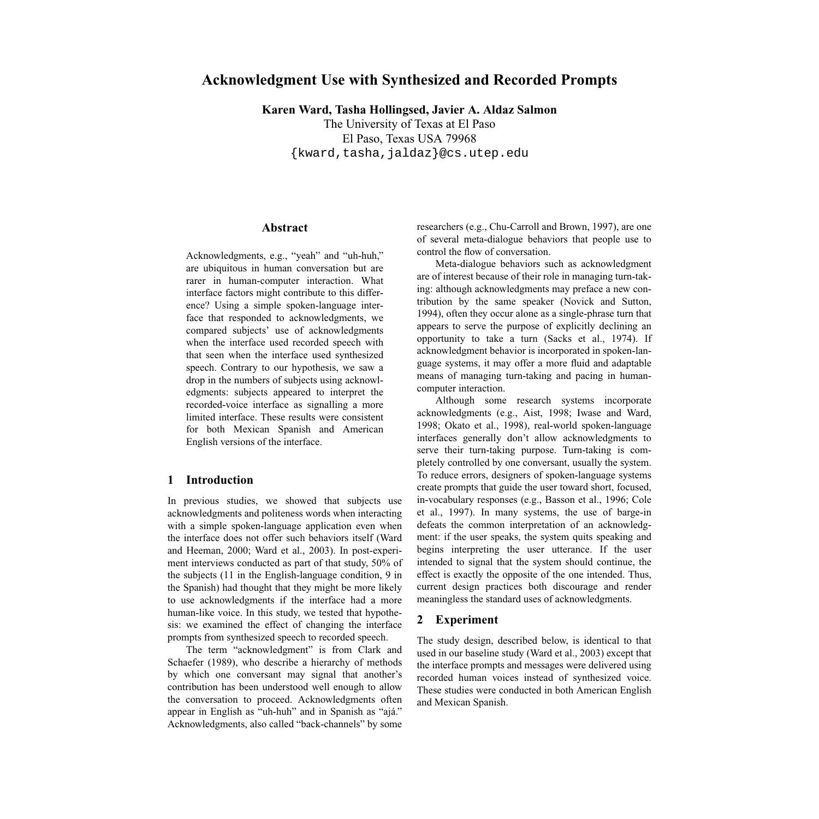# **Acknowledgment Use with Synthesized and Recorded Prompts**

**Karen Ward, Tasha Hollingsed, Javier A. Aldaz Salmon**

The University of Texas at El Paso El Paso, Texas USA 79968 {kward,tasha,jaldaz}@cs.utep.edu

## **Abstract**

Acknowledgments, e.g., "yeah" and "uh-huh," are ubiquitous in human conversation but are rarer in human-computer interaction. What interface factors might contribute to this difference? Using a simple spoken-language interface that responded to acknowledgments, we compared subjects' use of acknowledgments when the interface used recorded speech with that seen when the interface used synthesized speech. Contrary to our hypothesis, we saw a drop in the numbers of subjects using acknowledgments: subjects appeared to interpret the recorded-voice interface as signalling a more limited interface. These results were consistent for both Mexican Spanish and American English versions of the interface.

## **1 Introduction**

In previous studies, we showed that subjects use acknowledgments and politeness words when interacting with a simple spoken-language application even when the interface does not offer such behaviors itself (Ward and Heeman, 2000; Ward et al., 2003). In post-experiment interviews conducted as part of that study, 50% of the subjects (11 in the English-language condition, 9 in the Spanish) had thought that they might be more likely to use acknowledgments if the interface had a more human-like voice. In this study, we tested that hypothesis: we examined the effect of changing the interface prompts from synthesized speech to recorded speech.

The term "acknowledgment" is from Clark and Schaefer (1989), who describe a hierarchy of methods by which one conversant may signal that another's contribution has been understood well enough to allow the conversation to proceed. Acknowledgments often appear in English as "uh-huh" and in Spanish as "ajá." Acknowledgments, also called "back-channels" by some

researchers (e.g., Chu-Carroll and Brown, 1997), are one of several meta-dialogue behaviors that people use to control the flow of conversation.

Meta-dialogue behaviors such as acknowledgment are of interest because of their role in managing turn-taking: although acknowledgments may preface a new contribution by the same speaker (Novick and Sutton, 1994), often they occur alone as a single-phrase turn that appears to serve the purpose of explicitly declining an opportunity to take a turn (Sacks et al., 1974). If acknowledgment behavior is incorporated in spoken-language systems, it may offer a more fluid and adaptable means of managing turn-taking and pacing in humancomputer interaction.

Although some research systems incorporate acknowledgments (e.g., Aist, 1998; Iwase and Ward, 1998; Okato et al., 1998), real-world spoken-language interfaces generally don't allow acknowledgments to serve their turn-taking purpose. Turn-taking is completely controlled by one conversant, usually the system. To reduce errors, designers of spoken-language systems create prompts that guide the user toward short, focused, in-vocabulary responses (e.g., Basson et al., 1996; Cole et al., 1997). In many systems, the use of barge-in defeats the common interpretation of an acknowledgment: if the user speaks, the system quits speaking and begins interpreting the user utterance. If the user intended to signal that the system should continue, the effect is exactly the opposite of the one intended. Thus, current design practices both discourage and render meaningless the standard uses of acknowledgments.

## **2 Experiment**

The study design, described below, is identical to that used in our baseline study (Ward et al., 2003) except that the interface prompts and messages were delivered using recorded human voices instead of synthesized voice. These studies were conducted in both American English and Mexican Spanish.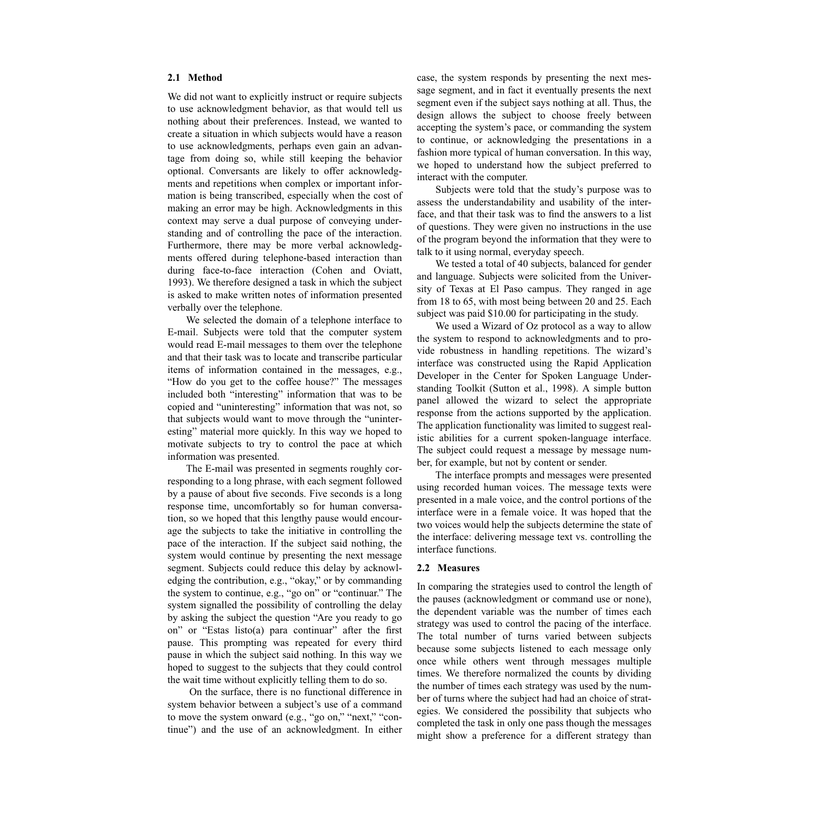#### **2.1 Method**

We did not want to explicitly instruct or require subjects to use acknowledgment behavior, as that would tell us nothing about their preferences. Instead, we wanted to create a situation in which subjects would have a reason to use acknowledgments, perhaps even gain an advantage from doing so, while still keeping the behavior optional. Conversants are likely to offer acknowledgments and repetitions when complex or important information is being transcribed, especially when the cost of making an error may be high. Acknowledgments in this context may serve a dual purpose of conveying understanding and of controlling the pace of the interaction. Furthermore, there may be more verbal acknowledgments offered during telephone-based interaction than during face-to-face interaction (Cohen and Oviatt, 1993). We therefore designed a task in which the subject is asked to make written notes of information presented verbally over the telephone.

We selected the domain of a telephone interface to E-mail. Subjects were told that the computer system would read E-mail messages to them over the telephone and that their task was to locate and transcribe particular items of information contained in the messages, e.g., "How do you get to the coffee house?" The messages included both "interesting" information that was to be copied and "uninteresting" information that was not, so that subjects would want to move through the "uninteresting" material more quickly. In this way we hoped to motivate subjects to try to control the pace at which information was presented.

The E-mail was presented in segments roughly corresponding to a long phrase, with each segment followed by a pause of about five seconds. Five seconds is a long response time, uncomfortably so for human conversation, so we hoped that this lengthy pause would encourage the subjects to take the initiative in controlling the pace of the interaction. If the subject said nothing, the system would continue by presenting the next message segment. Subjects could reduce this delay by acknowledging the contribution, e.g., "okay," or by commanding the system to continue, e.g., "go on" or "continuar." The system signalled the possibility of controlling the delay by asking the subject the question "Are you ready to go on" or "Estas listo(a) para continuar" after the first pause. This prompting was repeated for every third pause in which the subject said nothing. In this way we hoped to suggest to the subjects that they could control the wait time without explicitly telling them to do so.

On the surface, there is no functional difference in system behavior between a subject's use of a command to move the system onward (e.g., "go on," "next," "continue") and the use of an acknowledgment. In either case, the system responds by presenting the next message segment, and in fact it eventually presents the next segment even if the subject says nothing at all. Thus, the design allows the subject to choose freely between accepting the system's pace, or commanding the system to continue, or acknowledging the presentations in a fashion more typical of human conversation. In this way, we hoped to understand how the subject preferred to interact with the computer.

Subjects were told that the study's purpose was to assess the understandability and usability of the interface, and that their task was to find the answers to a list of questions. They were given no instructions in the use of the program beyond the information that they were to talk to it using normal, everyday speech.

We tested a total of 40 subjects, balanced for gender and language. Subjects were solicited from the University of Texas at El Paso campus. They ranged in age from 18 to 65, with most being between 20 and 25. Each subject was paid \$10.00 for participating in the study.

We used a Wizard of Oz protocol as a way to allow the system to respond to acknowledgments and to provide robustness in handling repetitions. The wizard's interface was constructed using the Rapid Application Developer in the Center for Spoken Language Understanding Toolkit (Sutton et al., 1998). A simple button panel allowed the wizard to select the appropriate response from the actions supported by the application. The application functionality was limited to suggest realistic abilities for a current spoken-language interface. The subject could request a message by message number, for example, but not by content or sender.

The interface prompts and messages were presented using recorded human voices. The message texts were presented in a male voice, and the control portions of the interface were in a female voice. It was hoped that the two voices would help the subjects determine the state of the interface: delivering message text vs. controlling the interface functions.

#### **2.2 Measures**

In comparing the strategies used to control the length of the pauses (acknowledgment or command use or none), the dependent variable was the number of times each strategy was used to control the pacing of the interface. The total number of turns varied between subjects because some subjects listened to each message only once while others went through messages multiple times. We therefore normalized the counts by dividing the number of times each strategy was used by the number of turns where the subject had had an choice of strategies. We considered the possibility that subjects who completed the task in only one pass though the messages might show a preference for a different strategy than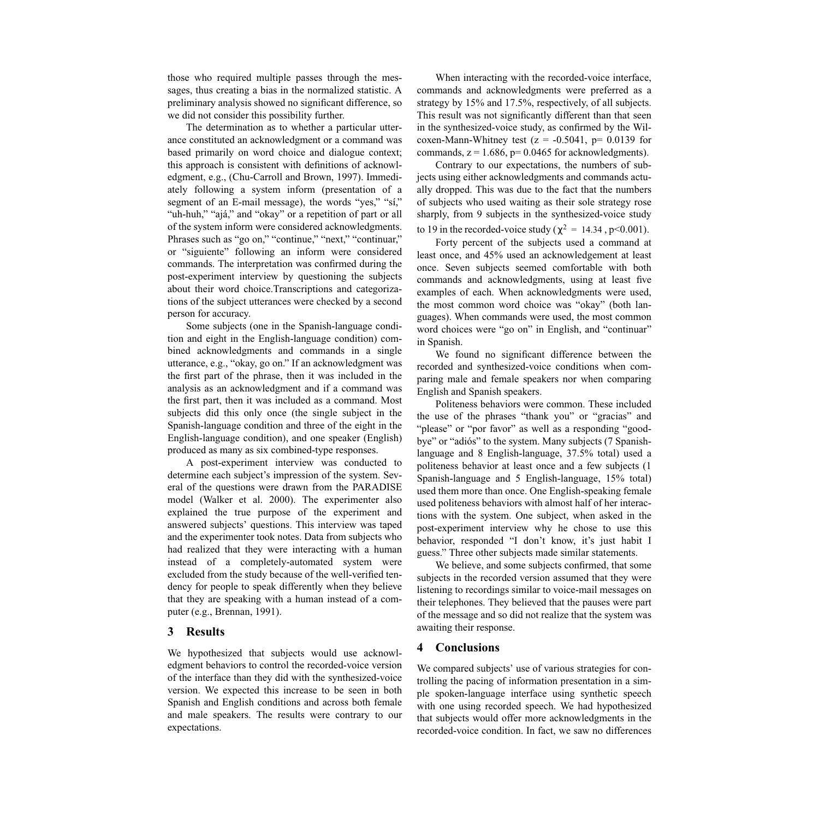those who required multiple passes through the messages, thus creating a bias in the normalized statistic. A preliminary analysis showed no significant difference, so we did not consider this possibility further.

The determination as to whether a particular utterance constituted an acknowledgment or a command was based primarily on word choice and dialogue context; this approach is consistent with definitions of acknowledgment, e.g., (Chu-Carroll and Brown, 1997). Immediately following a system inform (presentation of a segment of an E-mail message), the words "yes," "sí," "uh-huh," "ajá," and "okay" or a repetition of part or all of the system inform were considered acknowledgments. Phrases such as "go on," "continue," "next," "continuar," or "siguiente" following an inform were considered commands. The interpretation was confirmed during the post-experiment interview by questioning the subjects about their word choice.Transcriptions and categorizations of the subject utterances were checked by a second person for accuracy.

Some subjects (one in the Spanish-language condition and eight in the English-language condition) combined acknowledgments and commands in a single utterance, e.g., "okay, go on." If an acknowledgment was the first part of the phrase, then it was included in the analysis as an acknowledgment and if a command was the first part, then it was included as a command. Most subjects did this only once (the single subject in the Spanish-language condition and three of the eight in the English-language condition), and one speaker (English) produced as many as six combined-type responses.

A post-experiment interview was conducted to determine each subject's impression of the system. Several of the questions were drawn from the PARADISE model (Walker et al. 2000). The experimenter also explained the true purpose of the experiment and answered subjects' questions. This interview was taped and the experimenter took notes. Data from subjects who had realized that they were interacting with a human instead of a completely-automated system were excluded from the study because of the well-verified tendency for people to speak differently when they believe that they are speaking with a human instead of a computer (e.g., Brennan, 1991).

# **3 Results**

We hypothesized that subjects would use acknowledgment behaviors to control the recorded-voice version of the interface than they did with the synthesized-voice version. We expected this increase to be seen in both Spanish and English conditions and across both female and male speakers. The results were contrary to our expectations.

When interacting with the recorded-voice interface, commands and acknowledgments were preferred as a strategy by 15% and 17.5%, respectively, of all subjects. This result was not significantly different than that seen in the synthesized-voice study, as confirmed by the Wilcoxen-Mann-Whitney test ( $z = -0.5041$ ,  $p = 0.0139$  for commands,  $z = 1.686$ ,  $p = 0.0465$  for acknowledgments).

Contrary to our expectations, the numbers of subjects using either acknowledgments and commands actually dropped. This was due to the fact that the numbers of subjects who used waiting as their sole strategy rose sharply, from 9 subjects in the synthesized-voice study to 19 in the recorded-voice study ( $\chi^2 = 14.34$ , p<0.001).

Forty percent of the subjects used a command at least once, and 45% used an acknowledgement at least once. Seven subjects seemed comfortable with both commands and acknowledgments, using at least five examples of each. When acknowledgments were used, the most common word choice was "okay" (both languages). When commands were used, the most common word choices were "go on" in English, and "continuar" in Spanish.

We found no significant difference between the recorded and synthesized-voice conditions when comparing male and female speakers nor when comparing English and Spanish speakers.

Politeness behaviors were common. These included the use of the phrases "thank you" or "gracias" and "please" or "por favor" as well as a responding "goodbye" or "adiós" to the system. Many subjects (7 Spanishlanguage and 8 English-language, 37.5% total) used a politeness behavior at least once and a few subjects (1 Spanish-language and 5 English-language, 15% total) used them more than once. One English-speaking female used politeness behaviors with almost half of her interactions with the system. One subject, when asked in the post-experiment interview why he chose to use this behavior, responded "I don't know, it's just habit I guess." Three other subjects made similar statements.

We believe, and some subjects confirmed, that some subjects in the recorded version assumed that they were listening to recordings similar to voice-mail messages on their telephones. They believed that the pauses were part of the message and so did not realize that the system was awaiting their response.

# **4 Conclusions**

We compared subjects' use of various strategies for controlling the pacing of information presentation in a simple spoken-language interface using synthetic speech with one using recorded speech. We had hypothesized that subjects would offer more acknowledgments in the recorded-voice condition. In fact, we saw no differences